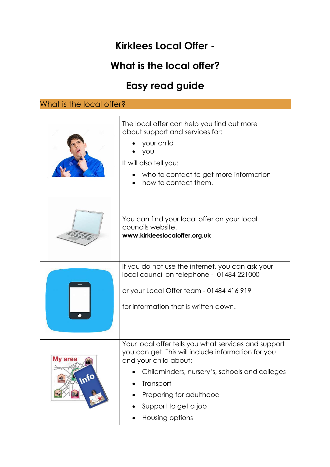## **Kirklees Local Offer -**

## **What is the local offer?**

# **Easy read guide**

| What is the local offer? |                                                                                                                                                                                                                                                                         |  |
|--------------------------|-------------------------------------------------------------------------------------------------------------------------------------------------------------------------------------------------------------------------------------------------------------------------|--|
|                          | The local offer can help you find out more<br>about support and services for:<br>your child<br>you<br>It will also tell you:<br>who to contact to get more information<br>how to contact them.                                                                          |  |
|                          | You can find your local offer on your local<br>councils website.<br>www.kirkleeslocaloffer.org.uk                                                                                                                                                                       |  |
|                          | If you do not use the internet, you can ask your<br>local council on telephone - 01484 221000<br>or your Local Offer team - 01484 416 919<br>for information that is written down.                                                                                      |  |
| My area<br>nfo           | Your local offer tells you what services and support<br>you can get. This will include information for you<br>and your child about:<br>Childminders, nursery's, schools and colleges<br>Transport<br>Preparing for adulthood<br>Support to get a job<br>Housing options |  |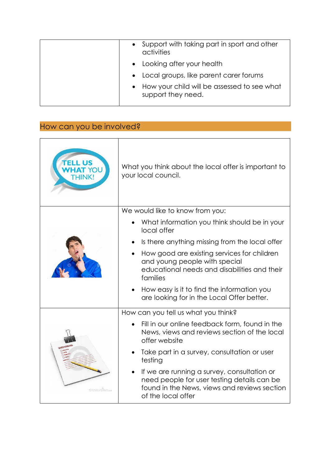| Support with taking part in sport and other<br>activities         |
|-------------------------------------------------------------------|
| • Looking after your health                                       |
| • Local groups, like parent carer forums                          |
| How your child will be assessed to see what<br>support they need. |

### How can you be involved?

| <b>ELL US</b><br>THINK! | What you think about the local offer is important to<br>your local council.                                                                                      |
|-------------------------|------------------------------------------------------------------------------------------------------------------------------------------------------------------|
|                         | We would like to know from you:                                                                                                                                  |
|                         | What information you think should be in your<br>local offer                                                                                                      |
|                         | Is there anything missing from the local offer                                                                                                                   |
|                         | How good are existing services for children<br>$\bullet$<br>and young people with special<br>educational needs and disabilities and their<br>families            |
|                         | How easy is it to find the information you<br>are looking for in the Local Offer better.                                                                         |
| dreamraime.com          | How can you tell us what you think?                                                                                                                              |
|                         | Fill in our online feedback form, found in the<br>News, views and reviews section of the local<br>offer website                                                  |
|                         | Take part in a survey, consultation or user<br>testing                                                                                                           |
|                         | If we are running a survey, consultation or<br>need people for user testing details can be<br>found in the News, views and reviews section<br>of the local offer |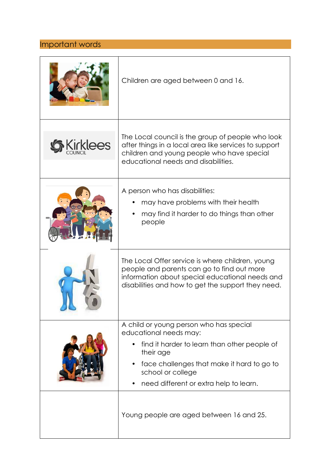#### Important words

|                 | Children are aged between 0 and 16.                                                                                                                                                                                                         |
|-----------------|---------------------------------------------------------------------------------------------------------------------------------------------------------------------------------------------------------------------------------------------|
| <b>Cirklees</b> | The Local council is the group of people who look<br>after things in a local area like services to support<br>children and young people who have special<br>educational needs and disabilities.                                             |
|                 | A person who has disabilities:<br>may have problems with their health<br>may find it harder to do things than other<br>people                                                                                                               |
|                 | The Local Offer service is where children, young<br>people and parents can go to find out more<br>information about special educational needs and<br>disabilities and how to get the support they need.                                     |
|                 | A child or young person who has special<br>educational needs may:<br>find it harder to learn than other people of<br>their age<br>face challenges that make it hard to go to<br>school or college<br>need different or extra help to learn. |
|                 | Young people are aged between 16 and 25.                                                                                                                                                                                                    |